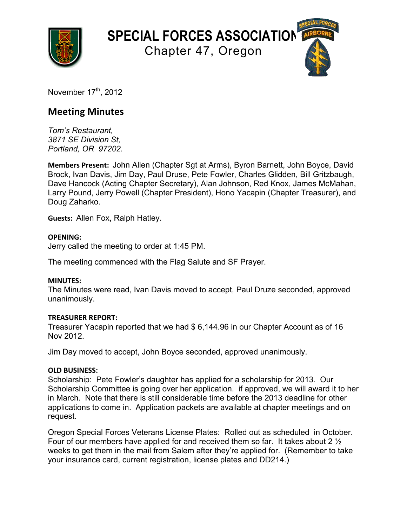

**SPECIAL FORCES ASSOCIATION**

Chapter 47, Oregon

November  $17<sup>th</sup>$ , 2012

# **Meeting Minutes**

*Tom's Restaurant, 3871 SE Division St, Portland, OR 97202.*

**Members Present:** John Allen (Chapter Sgt at Arms), Byron Barnett, John Boyce, David Brock, Ivan Davis, Jim Day, Paul Druse, Pete Fowler, Charles Glidden, Bill Gritzbaugh, Dave Hancock (Acting Chapter Secretary), Alan Johnson, Red Knox, James McMahan, Larry Pound, Jerry Powell (Chapter President), Hono Yacapin (Chapter Treasurer), and Doug Zaharko.

**Guests: Allen Fox, Ralph Hatley.** 

## **OPENING:**

Jerry called the meeting to order at 1:45 PM.

The meeting commenced with the Flag Salute and SF Prayer.

## **MINUTES:**

The Minutes were read, Ivan Davis moved to accept, Paul Druze seconded, approved unanimously.

## **TREASURER REPORT:**

Treasurer Yacapin reported that we had \$ 6,144.96 in our Chapter Account as of 16 Nov 2012.

Jim Day moved to accept, John Boyce seconded, approved unanimously.

## **OLD BUSINESS:**

Scholarship: Pete Fowler's daughter has applied for a scholarship for 2013. Our Scholarship Committee is going over her application. if approved, we will award it to her in March. Note that there is still considerable time before the 2013 deadline for other applications to come in. Application packets are available at chapter meetings and on request.

Oregon Special Forces Veterans License Plates: Rolled out as scheduled in October. Four of our members have applied for and received them so far. It takes about 2 ½ weeks to get them in the mail from Salem after they're applied for. (Remember to take your insurance card, current registration, license plates and DD214.)